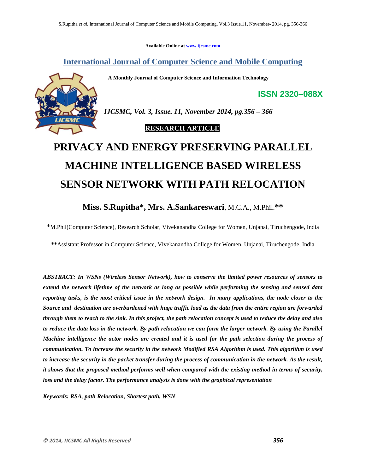**Available Online at [www.ijcsmc.com](http://www.ijcsmc.com/)**

# **International Journal of Computer Science and Mobile Computing**

 **A Monthly Journal of Computer Science and Information Technology**



*IJCSMC, Vol. 3, Issue. 11, November 2014, pg.356 – 366*

## **RESEARCH ARTICLE**

# **PRIVACY AND ENERGY PRESERVING PARALLEL MACHINE INTELLIGENCE BASED WIRELESS SENSOR NETWORK WITH PATH RELOCATION**

# **Miss. S.Rupitha\* , Mrs. A.Sankareswari**, M.C.A., M.Phil.**\*\***

\*M.Phil(Computer Science), Research Scholar, Vivekanandha College for Women, Unjanai, Tiruchengode, India

**\*\***Assistant Professor in Computer Science, Vivekanandha College for Women, Unjanai, Tiruchengode, India

*ABSTRACT: In WSNs (Wireless Sensor Network), how to conserve the limited power resources of sensors to extend the network lifetime of the network as long as possible while performing the sensing and sensed data reporting tasks, is the most critical issue in the network design. In many applications, the node closer to the Source and destination are overburdened with huge traffic load as the data from the entire region are forwarded through them to reach to the sink. In this project, the path relocation concept is used to reduce the delay and also*  to reduce the data loss in the network. By path relocation we can form the larger network. By using the Parallel *Machine intelligence the actor nodes are created and it is used for the path selection during the process of communication. To increase the security in the network Modified RSA Algorithm is used. This algorithm is used to increase the security in the packet transfer during the process of communication in the network. As the result, it shows that the proposed method performs well when compared with the existing method in terms of security, loss and the delay factor. The performance analysis is done with the graphical representation*

*Keywords: RSA, path Relocation, Shortest path, WSN*

**ISSN 2320–088X**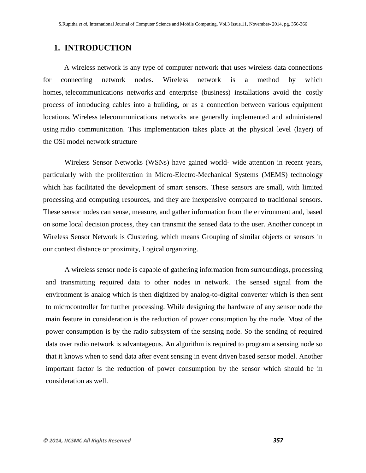# **1. INTRODUCTION**

A wireless network is any type of computer network that uses wireless data connections for connecting network nodes. Wireless network is a method by which homes, [telecommunications networks](http://en.wikipedia.org/wiki/Telecommunications_network) and enterprise (business) installations avoid the costly process of introducing cables into a building, or as a connection between various equipment locations. [Wireless](http://en.wikipedia.org/wiki/Wireless) telecommunications networks are generally implemented and administered using [radio communication.](http://en.wikipedia.org/wiki/Radio_communication) This implementation takes place at the physical level (layer) of the [OSI model](http://en.wikipedia.org/wiki/OSI_model) network structure

Wireless Sensor Networks (WSNs) have gained world- wide attention in recent years, particularly with the proliferation in Micro-Electro-Mechanical Systems (MEMS) technology which has facilitated the development of smart sensors. These sensors are small, with limited processing and computing resources, and they are inexpensive compared to traditional sensors. These sensor nodes can sense, measure, and gather information from the environment and, based on some local decision process, they can transmit the sensed data to the user. Another concept in Wireless Sensor Network is Clustering, which means Grouping of similar objects or sensors in our context distance or proximity, Logical organizing.

A wireless sensor node is capable of gathering information from surroundings, processing and transmitting required data to other nodes in network. The sensed signal from the environment is analog which is then digitized by analog-to-digital converter which is then sent to microcontroller for further processing. While designing the hardware of any sensor node the main feature in consideration is the reduction of power consumption by the node. Most of the power consumption is by the radio subsystem of the sensing node. So the sending of required data over radio network is advantageous. An algorithm is required to program a sensing node so that it knows when to send data after event sensing in event driven based sensor model. Another important factor is the reduction of power consumption by the sensor which should be in consideration as well.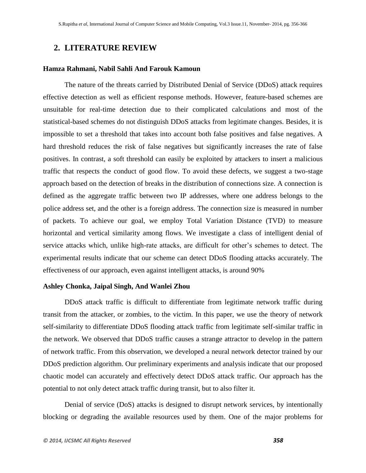# **2. LITERATURE REVIEW**

## **Hamza Rahmani, Nabil Sahli And Farouk Kamoun**

The nature of the threats carried by Distributed Denial of Service (DDoS) attack requires effective detection as well as efficient response methods. However, feature-based schemes are unsuitable for real-time detection due to their complicated calculations and most of the statistical-based schemes do not distinguish DDoS attacks from legitimate changes. Besides, it is impossible to set a threshold that takes into account both false positives and false negatives. A hard threshold reduces the risk of false negatives but significantly increases the rate of false positives. In contrast, a soft threshold can easily be exploited by attackers to insert a malicious traffic that respects the conduct of good flow. To avoid these defects, we suggest a two-stage approach based on the detection of breaks in the distribution of connections size. A connection is defined as the aggregate traffic between two IP addresses, where one address belongs to the police address set, and the other is a foreign address. The connection size is measured in number of packets. To achieve our goal, we employ Total Variation Distance (TVD) to measure horizontal and vertical similarity among flows. We investigate a class of intelligent denial of service attacks which, unlike high-rate attacks, are difficult for other's schemes to detect. The experimental results indicate that our scheme can detect DDoS flooding attacks accurately. The effectiveness of our approach, even against intelligent attacks, is around 90%

## **Ashley Chonka, Jaipal Singh, And Wanlei Zhou**

DDoS attack traffic is difficult to differentiate from legitimate network traffic during transit from the attacker, or zombies, to the victim. In this paper, we use the theory of network self-similarity to differentiate DDoS flooding attack traffic from legitimate self-similar traffic in the network. We observed that DDoS traffic causes a strange attractor to develop in the pattern of network traffic. From this observation, we developed a neural network detector trained by our DDoS prediction algorithm. Our preliminary experiments and analysis indicate that our proposed chaotic model can accurately and effectively detect DDoS attack traffic. Our approach has the potential to not only detect attack traffic during transit, but to also filter it.

Denial of service (DoS) attacks is designed to disrupt network services, by intentionally blocking or degrading the available resources used by them. One of the major problems for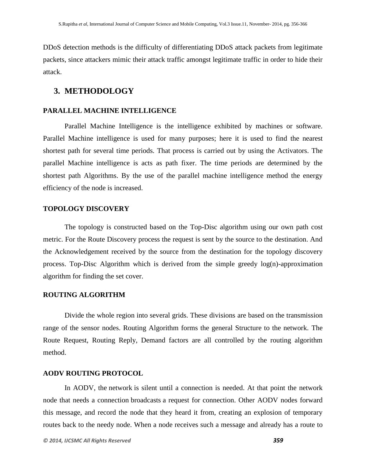DDoS detection methods is the difficulty of differentiating DDoS attack packets from legitimate packets, since attackers mimic their attack traffic amongst legitimate traffic in order to hide their attack.

## **3. METHODOLOGY**

## **PARALLEL MACHINE INTELLIGENCE**

Parallel Machine Intelligence is the intelligence exhibited by machines or software. Parallel Machine intelligence is used for many purposes; here it is used to find the nearest shortest path for several time periods. That process is carried out by using the Activators. The parallel Machine intelligence is acts as path fixer. The time periods are determined by the shortest path Algorithms. By the use of the parallel machine intelligence method the energy efficiency of the node is increased.

## **TOPOLOGY DISCOVERY**

The topology is constructed based on the Top-Disc algorithm using our own path cost metric. For the Route Discovery process the request is sent by the source to the destination. And the Acknowledgement received by the source from the destination for the topology discovery process. Top-Disc Algorithm which is derived from the simple greedy log(n)-approximation algorithm for finding the set cover.

## **ROUTING ALGORITHM**

Divide the whole region into several grids. These divisions are based on the transmission range of the sensor nodes. Routing Algorithm forms the general Structure to the network. The Route Request, Routing Reply, Demand factors are all controlled by the routing algorithm method.

#### **AODV ROUTING PROTOCOL**

In AODV, the [network](http://en.wikipedia.org/wiki/Computer_network) is silent until a connection is needed. At that point the network node that needs a connection [broadcasts](http://en.wikipedia.org/wiki/Broadcasting_(computing)) a request for connection. Other AODV nodes forward this message, and record the node that they heard it from, creating an explosion of temporary routes back to the needy node. When a node receives such a message and already has a route to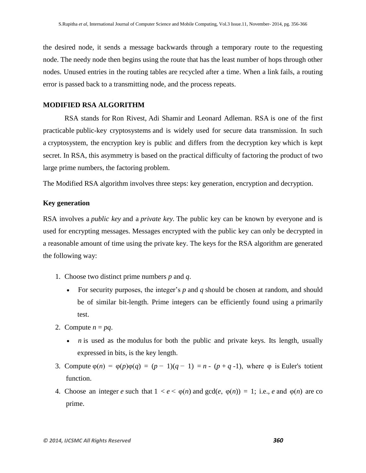the desired node, it sends a message backwards through a temporary route to the requesting node. The needy node then begins using the route that has the least number of hops through other nodes. Unused entries in the [routing tables](http://en.wikipedia.org/wiki/Routing_table) are recycled after a time. When a [link](http://en.wikipedia.org/wiki/Data_link) fails, a routing error is passed back to a transmitting node, and the process repeats.

## **MODIFIED RSA ALGORITHM**

RSA stands for [Ron Rivest,](http://en.wikipedia.org/wiki/Ron_Rivest) [Adi Shamir](http://en.wikipedia.org/wiki/Adi_Shamir) and [Leonard Adleman.](http://en.wikipedia.org/wiki/Leonard_Adleman) RSA is one of the first practicable [public-key cryptosystems](http://en.wikipedia.org/wiki/Public-key_cryptography) and is widely used for secure data transmission. In such a [cryptosystem,](http://en.wikipedia.org/wiki/Cryptosystem) the [encryption key](http://en.wikipedia.org/wiki/Encryption_key) is public and differs from the [decryption key](http://en.wikipedia.org/wiki/Decryption_key) which is kept secret. In RSA, this asymmetry is based on the practical difficulty of [factoring](http://en.wikipedia.org/wiki/Factorization) the product of two large [prime numbers,](http://en.wikipedia.org/wiki/Prime_number) the [factoring problem.](http://en.wikipedia.org/wiki/Factoring_problem)

The Modified RSA algorithm involves three steps: [key](http://en.wikipedia.org/wiki/Key_(cryptography)) generation, encryption and decryption.

#### **Key generation**

RSA involves a *public key* and a *[private key.](http://en.wikipedia.org/wiki/Private_key)* The public key can be known by everyone and is used for encrypting messages. Messages encrypted with the public key can only be decrypted in a reasonable amount of time using the private key. The keys for the RSA algorithm are generated the following way:

- 1. Choose two distinct [prime numbers](http://en.wikipedia.org/wiki/Prime_number) *p* and *q*.
	- For security purposes, the integer's *p* and *q* should be chosen at random, and should be of similar bit-length. Prime integers can be efficiently found using a [primarily](http://en.wikipedia.org/wiki/Primality_test)  [test.](http://en.wikipedia.org/wiki/Primality_test)
- 2. Compute  $n = pq$ .
	- *n* is used as the [modulus](http://en.wikipedia.org/wiki/Modular_arithmetic) for both the public and private keys. Its length, usually expressed in bits, is the [key length.](http://en.wikipedia.org/wiki/Key_length)
- 3. Compute  $\varphi(n) = \varphi(p)\varphi(q) = (p-1)(q-1) = n (p+q-1)$ , where  $\varphi$  is Euler's totient [function.](http://en.wikipedia.org/wiki/Euler%27s_totient_function)
- 4. Choose an integer *e* such that  $1 < e < \varphi(n)$  and  $gcd(e, \varphi(n)) = 1$  $gcd(e, \varphi(n)) = 1$ ; i.e., *e* and  $\varphi(n)$  are co prime.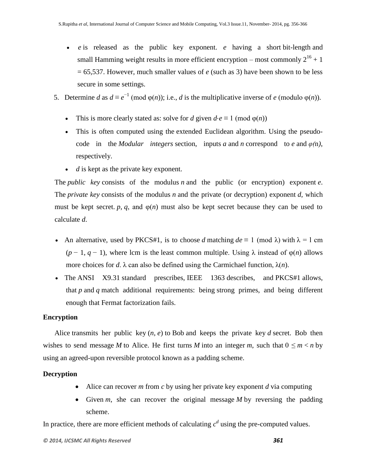- *e* is released as the public key exponent. *e* having a short [bit-length](http://en.wikipedia.org/wiki/Bit-length) and small [Hamming weight](http://en.wikipedia.org/wiki/Hamming_weight) results in more efficient encryption – most commonly  $2^{16} + 1$ = 65,537. However, much smaller values of *e* (such as 3) have been shown to be less secure in some settings.
- 5. Determine *d* as  $d \equiv e^{-1} \pmod{\varphi(n)}$ ; i.e., *d* is the [multiplicative inverse](http://en.wikipedia.org/wiki/Modular_multiplicative_inverse) of *e* (modulo  $\varphi(n)$ ).
	- This is more clearly stated as: solve for *d* given  $d \cdot e \equiv 1 \pmod{\varphi(n)}$
	- This is often computed using the [extended Euclidean algorithm.](http://en.wikipedia.org/wiki/Extended_Euclidean_algorithm) Using the pseudocode in the *Modular* integers section, inputs *a* and *n* correspond to *e* and  $\varphi(n)$ , respectively.
	- *d* is kept as the private key exponent.

The *public key* consists of the modulus *n* and the public (or encryption) exponent *e*. The *private key* consists of the modulus *n* and the private (or decryption) exponent *d*, which must be kept secret. *p*, *q*, and  $\varphi(n)$  must also be kept secret because they can be used to calculate *d*.

- An alternative, used by [PKCS#1,](http://en.wikipedia.org/wiki/PKCS1) is to choose *d* matching  $de \equiv 1 \pmod{\lambda}$  with  $\lambda = 1$  cm ( $p - 1$ ,  $q - 1$ ), where lcm is the [least common multiple.](http://en.wikipedia.org/wiki/Least_common_multiple) Using  $\lambda$  instead of  $\varphi(n)$  allows more choices for *d*.  $\lambda$  can also be defined using the [Carmichael function,](http://en.wikipedia.org/wiki/Carmichael_function)  $\lambda(n)$ .
- The [ANSI X9.31](http://en.wikipedia.org/w/index.php?title=ANSI_X9.31&action=edit&redlink=1) standard prescribes, [IEEE 1363](http://en.wikipedia.org/wiki/P1363) describes, and [PKCS#1](http://en.wikipedia.org/wiki/PKCS1) allows, that *p* and *q* match additional requirements: being strong [primes,](http://en.wikipedia.org/wiki/Strong_prime) and being different enough that [Fermat factorization](http://en.wikipedia.org/wiki/Fermat_factorization) fails.

## **Encryption**

[Alice](http://en.wikipedia.org/wiki/Alice_and_Bob) transmits her public key (*n*, *e*) to [Bob](http://en.wikipedia.org/wiki/Alice_and_Bob) and keeps the private key *d* secret. Bob then wishes to send message *M* to Alice. He first turns *M* into an integer *m*, such that  $0 \le m < n$  by using an agreed-upon reversible protocol known as a [padding scheme.](http://en.wikipedia.org/wiki/RSA_(cryptosystem)#Padding_schemes)

# **Decryption**

- Alice can recover *m* from *c* by using her private key exponent *d* via computing
- Given  $m$ , she can recover the original message  $M$  by reversing the padding scheme.

In practice, there are more efficient methods of calculating  $c^d$  using the pre-computed values.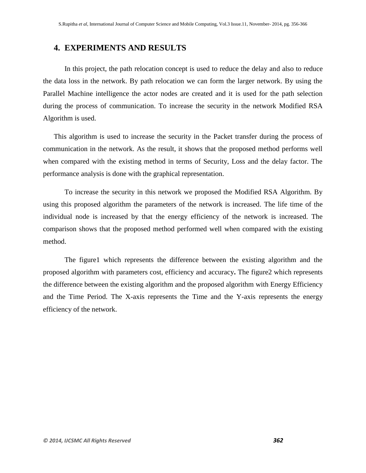## **4. EXPERIMENTS AND RESULTS**

In this project, the path relocation concept is used to reduce the delay and also to reduce the data loss in the network. By path relocation we can form the larger network. By using the Parallel Machine intelligence the actor nodes are created and it is used for the path selection during the process of communication. To increase the security in the network Modified RSA Algorithm is used.

This algorithm is used to increase the security in the Packet transfer during the process of communication in the network. As the result, it shows that the proposed method performs well when compared with the existing method in terms of Security, Loss and the delay factor. The performance analysis is done with the graphical representation.

To increase the security in this network we proposed the Modified RSA Algorithm. By using this proposed algorithm the parameters of the network is increased. The life time of the individual node is increased by that the energy efficiency of the network is increased. The comparison shows that the proposed method performed well when compared with the existing method.

The figure1 which represents the difference between the existing algorithm and the proposed algorithm with parameters cost, efficiency and accuracy**.** The figure2 which represents the difference between the existing algorithm and the proposed algorithm with Energy Efficiency and the Time Period. The X-axis represents the Time and the Y-axis represents the energy efficiency of the network.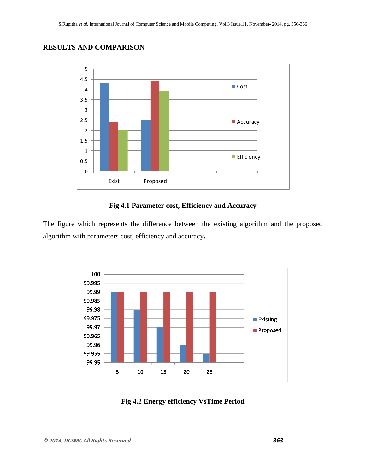# **RESULTS AND COMPARISON**



## **Fig 4.1 Parameter cost, Efficiency and Accuracy**

The figure which represents the difference between the existing algorithm and the proposed algorithm with parameters cost, efficiency and accuracy**.**



**Fig 4.2 Energy efficiency VsTime Period**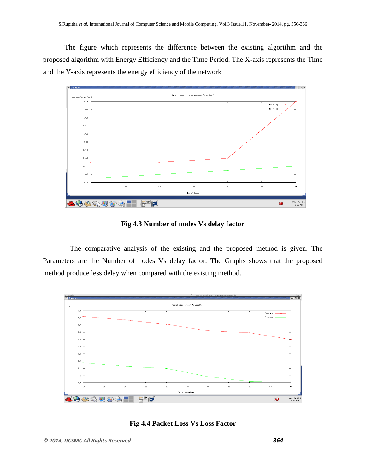The figure which represents the difference between the existing algorithm and the proposed algorithm with Energy Efficiency and the Time Period. The X-axis represents the Time and the Y-axis represents the energy efficiency of the network



**Fig 4.3 Number of nodes Vs delay factor**

 The comparative analysis of the existing and the proposed method is given. The Parameters are the Number of nodes Vs delay factor. The Graphs shows that the proposed method produce less delay when compared with the existing method.



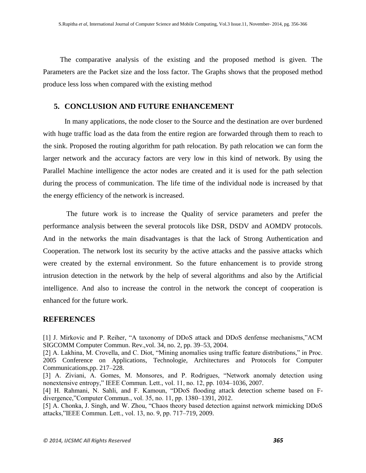The comparative analysis of the existing and the proposed method is given. The Parameters are the Packet size and the loss factor. The Graphs shows that the proposed method produce less loss when compared with the existing method

## **5. CONCLUSION AND FUTURE ENHANCEMENT**

In many applications, the node closer to the Source and the destination are over burdened with huge traffic load as the data from the entire region are forwarded through them to reach to the sink. Proposed the routing algorithm for path relocation. By path relocation we can form the larger network and the accuracy factors are very low in this kind of network. By using the Parallel Machine intelligence the actor nodes are created and it is used for the path selection during the process of communication. The life time of the individual node is increased by that the energy efficiency of the network is increased.

The future work is to increase the Quality of service parameters and prefer the performance analysis between the several protocols like DSR, DSDV and AOMDV protocols. And in the networks the main disadvantages is that the lack of Strong Authentication and Cooperation. The network lost its security by the active attacks and the passive attacks which were created by the external environment. So the future enhancement is to provide strong intrusion detection in the network by the help of several algorithms and also by the Artificial intelligence. And also to increase the control in the network the concept of cooperation is enhanced for the future work.

## **REFERENCES**

[1] J. Mirkovic and P. Reiher, "A taxonomy of DDoS attack and DDoS denfense mechanisms,"ACM SIGCOMM Computer Commun. Rev.,vol. 34, no. 2, pp. 39–53, 2004.

[4] H. Rahmani, N. Sahli, and F. Kamoun, "DDoS flooding attack detection scheme based on Fdivergence,"Computer Commun., vol. 35, no. 11, pp. 1380–1391, 2012.

[5] A. Chonka, J. Singh, and W. Zhou, "Chaos theory based detection against network mimicking DDoS attacks,"IEEE Commun. Lett., vol. 13, no. 9, pp. 717–719, 2009.

<sup>[2]</sup> A. Lakhina, M. Crovella, and C. Diot, "Mining anomalies using traffic feature distributions," in Proc. 2005 Conference on Applications, Technologie, Architectures and Protocols for Computer Communications,pp. 217–228.

<sup>[3]</sup> A. Ziviani, A. Gomes, M. Monsores, and P. Rodrigues, "Network anomaly detection using nonextensive entropy," IEEE Commun. Lett., vol. 11, no. 12, pp. 1034–1036, 2007.